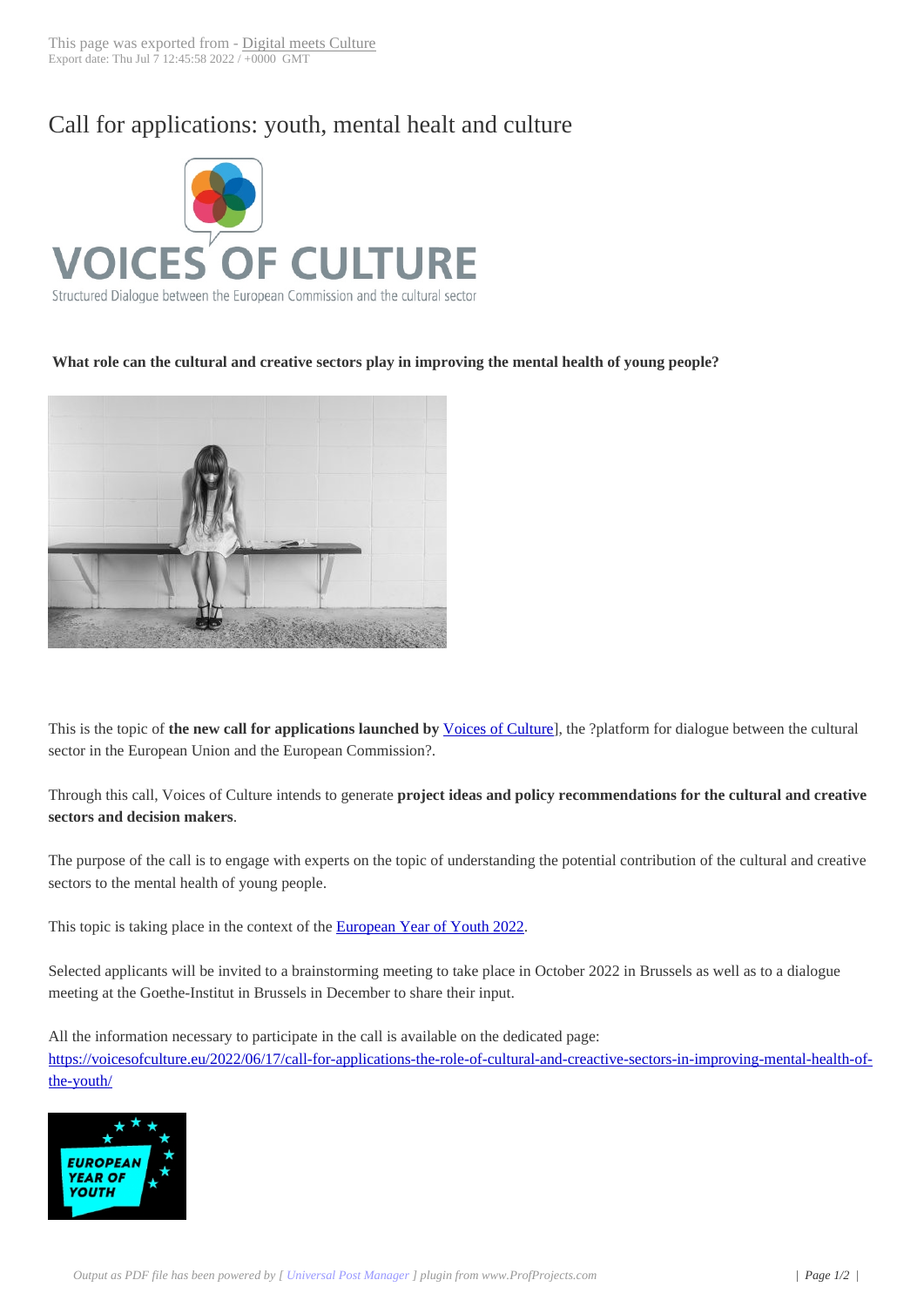## Call for application[s: youth, men](https://www.digitalmeetsculture.net/?p=59958)tal healt and culture



## **What role can the cultural and creative sectors play in improving the mental health of young people?**



This is the topic of **the new call for applications launched by** Voices of Culture], the ?platform for dialogue between the cultural sector in the European Union and the European Commission?.

Through this call, Voices of Culture intends to generate **projec[t ideas and policy](https://voicesofculture.eu/) recommendations for the cultural and creative sectors and decision makers**.

The purpose of the call is to engage with experts on the topic of understanding the potential contribution of the cultural and creative sectors to the mental health of young people.

This topic is taking place in the context of the **European Year of Youth 2022.** 

Selected applicants will be invited to a brainstorming meeting to take place in October 2022 in Brussels as well as to a dialogue meeting at the Goethe-Institut in Brussels in [December to share their input.](https://europa.eu/youth/year-of-youth_en)

All the information necessary to participate in the call is available on the dedicated page: https://voicesofculture.eu/2022/06/17/call-for-applications-the-role-of-cultural-and-creactive-sectors-in-improving-mental-health-ofthe-youth/